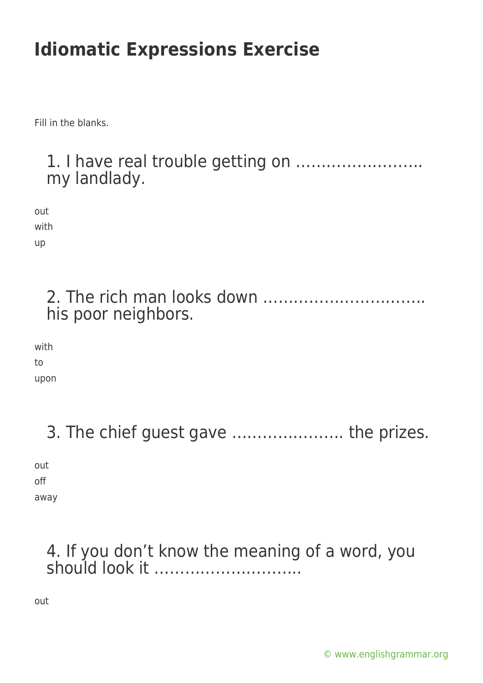Fill in the blanks.

#### 1. I have real trouble getting on ……………………. my landlady.

out with up

> 2. The rich man looks down ………………………….. his poor neighbors.

with to

upon

3. The chief guest gave …………………. the prizes.

out off away

### 4. If you don't know the meaning of a word, you should look it ………………………..

out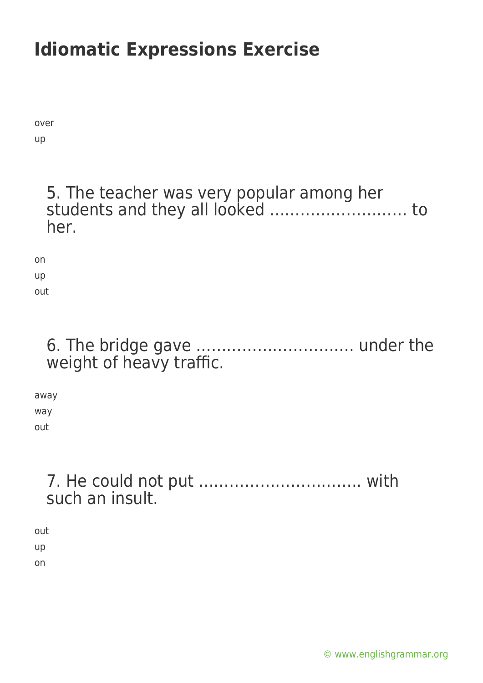over up

#### 5. The teacher was very popular among her students and they all looked ……………………… to her.

on up out

### 6. The bridge gave …………………………. under the weight of heavy traffic.

away way out

### 7. He could not put ………………………….. with such an insult.

out up on

[© www.englishgrammar.org](https://www.englishgrammar.org/)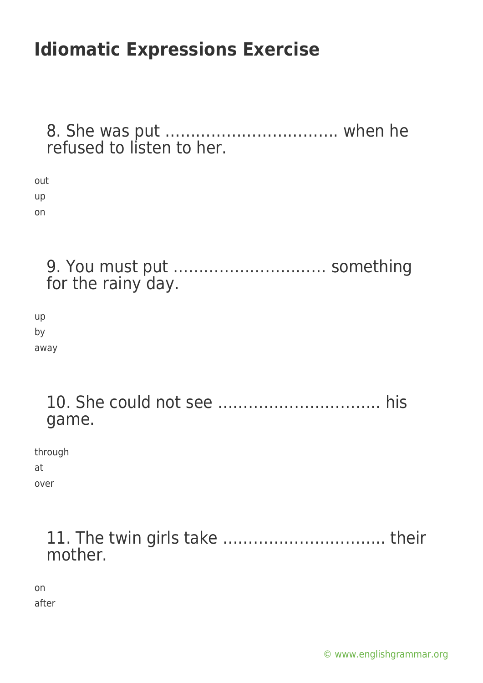| refused to listen to her.                        |
|--------------------------------------------------|
| out<br>up<br>on                                  |
| 9. You must put  something<br>for the rainy day. |
| up<br>by<br>away                                 |
| game.                                            |
| through<br>at<br>over                            |
| mother.                                          |
| on<br>after                                      |